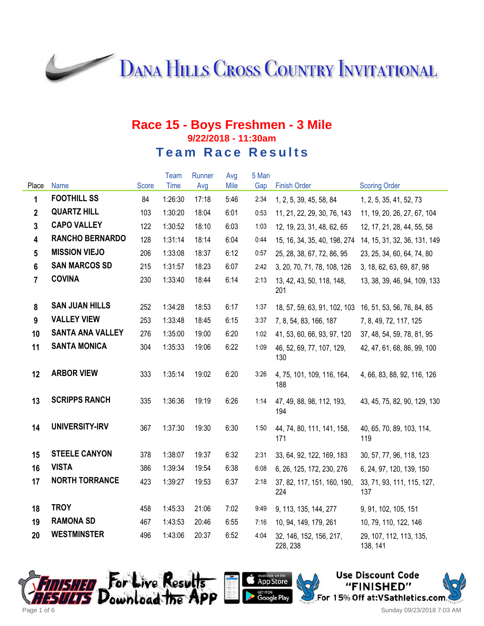**DANA HILLS CROSS COUNTRY INVITATIONAL** 

#### **Race 15 - Boys Freshmen - 3 Mile 9/22/2018 - 11:30am Team Race Results**

|                         |                         |       | Team    | Runner | Avg  | 5 Man |                                     |                                     |
|-------------------------|-------------------------|-------|---------|--------|------|-------|-------------------------------------|-------------------------------------|
| Place                   | Name                    | Score | Time    | Avg    | Mile | Gap   | <b>Finish Order</b>                 | <b>Scoring Order</b>                |
| 1                       | <b>FOOTHILL SS</b>      | 84    | 1:26:30 | 17:18  | 5:46 | 2:34  | 1, 2, 5, 39, 45, 58, 84             | 1, 2, 5, 35, 41, 52, 73             |
| $\overline{2}$          | <b>QUARTZ HILL</b>      | 103   | 1:30:20 | 18:04  | 6:01 | 0:53  | 11, 21, 22, 29, 30, 76, 143         | 11, 19, 20, 26, 27, 67, 104         |
| $\mathbf{3}$            | <b>CAPO VALLEY</b>      | 122   | 1:30:52 | 18:10  | 6:03 | 1:03  | 12, 19, 23, 31, 48, 62, 65          | 12, 17, 21, 28, 44, 55, 58          |
| $\overline{\mathbf{4}}$ | <b>RANCHO BERNARDO</b>  | 128   | 1:31:14 | 18:14  | 6:04 | 0:44  | 15, 16, 34, 35, 40, 198, 274        | 14, 15, 31, 32, 36, 131, 149        |
| $5\phantom{a}$          | <b>MISSION VIEJO</b>    | 206   | 1:33:08 | 18:37  | 6:12 | 0:57  | 25, 28, 38, 67, 72, 86, 95          | 23, 25, 34, 60, 64, 74, 80          |
| $6\phantom{a}$          | <b>SAN MARCOS SD</b>    | 215   | 1:31:57 | 18:23  | 6:07 | 2:42  | 3, 20, 70, 71, 78, 108, 126         | 3, 18, 62, 63, 69, 87, 98           |
| $\overline{7}$          | <b>COVINA</b>           | 230   | 1:33:40 | 18:44  | 6:14 | 2:13  | 13, 42, 43, 50, 118, 148,<br>201    | 13, 38, 39, 46, 94, 109, 133        |
| 8                       | <b>SAN JUAN HILLS</b>   | 252   | 1:34:28 | 18:53  | 6:17 | 1:37  | 18, 57, 59, 63, 91, 102, 103        | 16, 51, 53, 56, 76, 84, 85          |
| 9                       | <b>VALLEY VIEW</b>      | 253   | 1:33:48 | 18:45  | 6:15 | 3:37  | 7, 8, 54, 83, 166, 187              | 7, 8, 49, 72, 117, 125              |
| 10                      | <b>SANTA ANA VALLEY</b> | 276   | 1:35:00 | 19:00  | 6:20 | 1:02  | 41, 53, 60, 66, 93, 97, 120         | 37, 48, 54, 59, 78, 81, 95          |
| 11                      | <b>SANTA MONICA</b>     | 304   | 1:35:33 | 19:06  | 6:22 | 1:09  | 46, 52, 69, 77, 107, 129,<br>130    | 42, 47, 61, 68, 86, 99, 100         |
| 12                      | <b>ARBOR VIEW</b>       | 333   | 1:35:14 | 19:02  | 6:20 | 3:26  | 4, 75, 101, 109, 116, 164,<br>188   | 4, 66, 83, 88, 92, 116, 126         |
| 13                      | <b>SCRIPPS RANCH</b>    | 335   | 1:36:36 | 19:19  | 6:26 | 1:14  | 47, 49, 88, 98, 112, 193,<br>194    | 43, 45, 75, 82, 90, 129, 130        |
| 14                      | <b>UNIVERSITY-IRV</b>   | 367   | 1:37:30 | 19:30  | 6:30 | 1:50  | 44, 74, 80, 111, 141, 158,<br>171   | 40, 65, 70, 89, 103, 114,<br>119    |
| 15                      | <b>STEELE CANYON</b>    | 378   | 1:38:07 | 19:37  | 6:32 | 2:31  | 33, 64, 92, 122, 169, 183           | 30, 57, 77, 96, 118, 123            |
| 16                      | <b>VISTA</b>            | 386   | 1:39:34 | 19:54  | 6:38 | 6:08  | 6, 26, 125, 172, 230, 276           | 6, 24, 97, 120, 139, 150            |
| 17                      | <b>NORTH TORRANCE</b>   | 423   | 1:39:27 | 19:53  | 6:37 | 2:18  | 37, 82, 117, 151, 160, 190,<br>224  | 33, 71, 93, 111, 115, 127,<br>137   |
| 18                      | <b>TROY</b>             | 458   | 1:45:33 | 21:06  | 7:02 | 9:49  | 9, 113, 135, 144, 277               | 9, 91, 102, 105, 151                |
| 19                      | <b>RAMONA SD</b>        | 467   | 1:43:53 | 20:46  | 6:55 | 7:16  | 10, 94, 149, 179, 261               | 10, 79, 110, 122, 146               |
| 20                      | <b>WESTMINSTER</b>      | 496   | 1:43:06 | 20:37  | 6:52 | 4:04  | 32, 146, 152, 156, 217,<br>228, 238 | 29, 107, 112, 113, 135,<br>138, 141 |





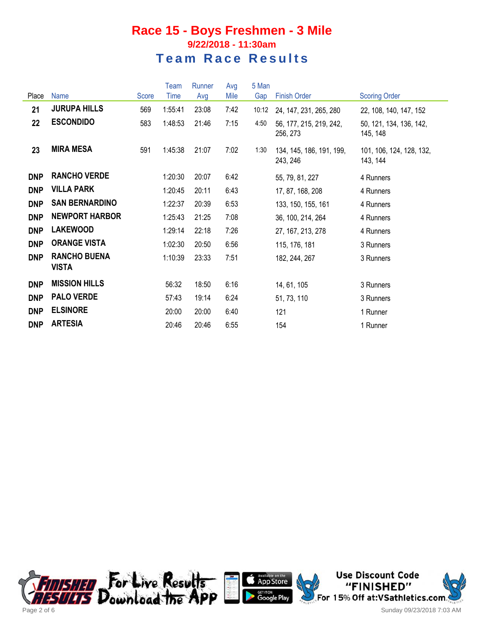|            |                                     |       | Team    | Runner | Avg  | 5 Man |                                      |                                      |
|------------|-------------------------------------|-------|---------|--------|------|-------|--------------------------------------|--------------------------------------|
| Place      | Name                                | Score | Time    | Avg    | Mile | Gap   | <b>Finish Order</b>                  | <b>Scoring Order</b>                 |
| 21         | <b>JURUPA HILLS</b>                 | 569   | 1:55:41 | 23:08  | 7:42 | 10:12 | 24, 147, 231, 265, 280               | 22, 108, 140, 147, 152               |
| 22         | <b>ESCONDIDO</b>                    | 583   | 1:48:53 | 21:46  | 7:15 | 4:50  | 56, 177, 215, 219, 242,<br>256, 273  | 50, 121, 134, 136, 142,<br>145, 148  |
| 23         | <b>MIRA MESA</b>                    | 591   | 1:45:38 | 21:07  | 7:02 | 1:30  | 134, 145, 186, 191, 199,<br>243, 246 | 101, 106, 124, 128, 132,<br>143, 144 |
| <b>DNP</b> | <b>RANCHO VERDE</b>                 |       | 1:20:30 | 20:07  | 6:42 |       | 55, 79, 81, 227                      | 4 Runners                            |
| <b>DNP</b> | <b>VILLA PARK</b>                   |       | 1:20:45 | 20:11  | 6:43 |       | 17, 87, 168, 208                     | 4 Runners                            |
| <b>DNP</b> | <b>SAN BERNARDINO</b>               |       | 1:22:37 | 20:39  | 6:53 |       | 133, 150, 155, 161                   | 4 Runners                            |
| <b>DNP</b> | <b>NEWPORT HARBOR</b>               |       | 1:25:43 | 21:25  | 7:08 |       | 36, 100, 214, 264                    | 4 Runners                            |
| <b>DNP</b> | <b>LAKEWOOD</b>                     |       | 1:29:14 | 22:18  | 7:26 |       | 27, 167, 213, 278                    | 4 Runners                            |
| <b>DNP</b> | <b>ORANGE VISTA</b>                 |       | 1:02:30 | 20:50  | 6:56 |       | 115, 176, 181                        | 3 Runners                            |
| <b>DNP</b> | <b>RANCHO BUENA</b><br><b>VISTA</b> |       | 1:10:39 | 23:33  | 7:51 |       | 182, 244, 267                        | 3 Runners                            |
| <b>DNP</b> | <b>MISSION HILLS</b>                |       | 56:32   | 18:50  | 6:16 |       | 14, 61, 105                          | 3 Runners                            |
| <b>DNP</b> | <b>PALO VERDE</b>                   |       | 57:43   | 19:14  | 6:24 |       | 51, 73, 110                          | 3 Runners                            |
| <b>DNP</b> | <b>ELSINORE</b>                     |       | 20:00   | 20:00  | 6:40 |       | 121                                  | 1 Runner                             |
| <b>DNP</b> | <b>ARTESIA</b>                      |       | 20:46   | 20:46  | 6:55 |       | 154                                  | 1 Runner                             |





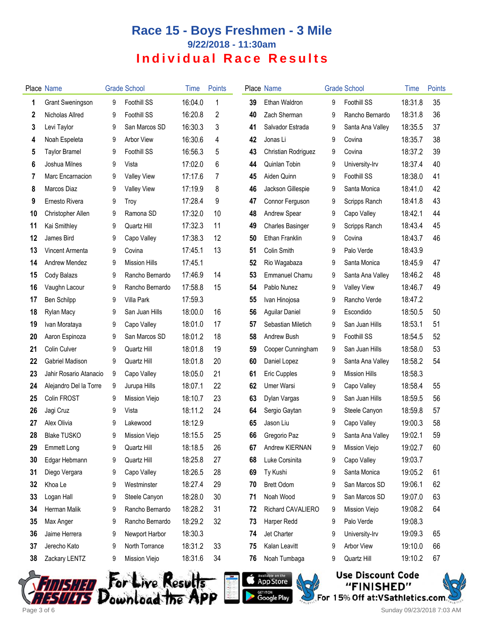|    | <b>Place Name</b>      |   | <b>Grade School</b>                  | Time    | Points |    | Place Name                                                              |   | <b>Grade School</b>                                                        | Time    | <b>Points</b> |
|----|------------------------|---|--------------------------------------|---------|--------|----|-------------------------------------------------------------------------|---|----------------------------------------------------------------------------|---------|---------------|
| 1  | Grant Sweningson       | 9 | Foothill SS                          | 16:04.0 | 1      | 39 | Ethan Waldron                                                           | 9 | Foothill SS                                                                | 18:31.8 | 35            |
| 2  | Nicholas Allred        | 9 | <b>Foothill SS</b>                   | 16:20.8 | 2      | 40 | Zach Sherman                                                            | 9 | Rancho Bernardo                                                            | 18:31.8 | 36            |
| 3  | Levi Taylor            | 9 | San Marcos SD                        | 16:30.3 | 3      | 41 | Salvador Estrada                                                        | 9 | Santa Ana Valley                                                           | 18:35.5 | 37            |
| 4  | Noah Espeleta          | 9 | <b>Arbor View</b>                    | 16:30.6 | 4      | 42 | Jonas Li                                                                | 9 | Covina                                                                     | 18:35.7 | 38            |
| 5  | <b>Taylor Bramel</b>   | 9 | Foothill SS                          | 16:56.3 | 5      | 43 | Christian Rodriguez                                                     | 9 | Covina                                                                     | 18:37.2 | 39            |
| 6  | Joshua Milnes          | 9 | Vista                                | 17:02.0 | 6      | 44 | Quinlan Tobin                                                           | 9 | University-Irv                                                             | 18:37.4 | 40            |
| 7  | Marc Encarnacion       | 9 | <b>Valley View</b>                   | 17:17.6 | 7      | 45 | Aiden Quinn                                                             | 9 | <b>Foothill SS</b>                                                         | 18:38.0 | 41            |
| 8  | Marcos Diaz            | 9 | <b>Valley View</b>                   | 17:19.9 | 8      | 46 | Jackson Gillespie                                                       | 9 | Santa Monica                                                               | 18:41.0 | 42            |
| 9  | Ernesto Rivera         | 9 | Troy                                 | 17:28.4 | 9      | 47 | Connor Ferguson                                                         | 9 | Scripps Ranch                                                              | 18:41.8 | 43            |
| 10 | Christopher Allen      | 9 | Ramona SD                            | 17:32.0 | 10     | 48 | <b>Andrew Spear</b>                                                     | 9 | Capo Valley                                                                | 18:42.1 | 44            |
| 11 | Kai Smithley           | 9 | Quartz Hill                          | 17:32.3 | 11     | 49 | <b>Charles Basinger</b>                                                 | 9 | Scripps Ranch                                                              | 18:43.4 | 45            |
| 12 | James Bird             | 9 | Capo Valley                          | 17:38.3 | 12     | 50 | <b>Ethan Franklin</b>                                                   | 9 | Covina                                                                     | 18:43.7 | 46            |
| 13 | Vincent Armenta        | 9 | Covina                               | 17:45.1 | 13     | 51 | Colin Smith                                                             | 9 | Palo Verde                                                                 | 18:43.9 |               |
| 14 | Andrew Mendez          | 9 | <b>Mission Hills</b>                 | 17:45.1 |        | 52 | Rio Wagabaza                                                            | 9 | Santa Monica                                                               | 18:45.9 | 47            |
| 15 | Cody Balazs            | 9 | Rancho Bernardo                      | 17:46.9 | 14     | 53 | Emmanuel Chamu                                                          | 9 | Santa Ana Valley                                                           | 18:46.2 | 48            |
| 16 | Vaughn Lacour          | 9 | Rancho Bernardo                      | 17:58.8 | 15     | 54 | Pablo Nunez                                                             | 9 | <b>Valley View</b>                                                         | 18:46.7 | 49            |
| 17 | Ben Schilpp            | 9 | Villa Park                           | 17:59.3 |        | 55 | Ivan Hinojosa                                                           | 9 | Rancho Verde                                                               | 18:47.2 |               |
| 18 | Rylan Macy             | 9 | San Juan Hills                       | 18:00.0 | 16     | 56 | <b>Aguilar Daniel</b>                                                   | 9 | Escondido                                                                  | 18:50.5 | 50            |
| 19 | Ivan Morataya          | 9 | Capo Valley                          | 18:01.0 | 17     | 57 | Sebastian Miletich                                                      | 9 | San Juan Hills                                                             | 18:53.1 | 51            |
| 20 | Aaron Espinoza         | 9 | San Marcos SD                        | 18:01.2 | 18     | 58 | Andrew Bush                                                             | 9 | Foothill SS                                                                | 18:54.5 | 52            |
| 21 | Colin Culver           | 9 | Quartz Hill                          | 18:01.8 | 19     | 59 | Cooper Cunningham                                                       | 9 | San Juan Hills                                                             | 18:58.0 | 53            |
| 22 | Gabriel Madison        | 9 | Quartz Hill                          | 18:01.8 | 20     | 60 | Daniel Lopez                                                            | 9 | Santa Ana Valley                                                           | 18:58.2 | 54            |
| 23 | Jahir Rosario Atanacio | 9 | Capo Valley                          | 18:05.0 | 21     | 61 | Eric Cupples                                                            | 9 | <b>Mission Hills</b>                                                       | 18:58.3 |               |
| 24 | Alejandro Del la Torre | 9 | Jurupa Hills                         | 18:07.1 | 22     | 62 | Umer Warsi                                                              | 9 | Capo Valley                                                                | 18:58.4 | 55            |
| 25 | Colin FROST            | 9 | Mission Viejo                        | 18:10.7 | 23     | 63 | Dylan Vargas                                                            | 9 | San Juan Hills                                                             | 18:59.5 | 56            |
| 26 | Jagi Cruz              | 9 | Vista                                | 18:11.2 | 24     | 64 | Sergio Gaytan                                                           | 9 | Steele Canyon                                                              | 18:59.8 | 57            |
| 27 | Alex Olivia            | 9 | Lakewood                             | 18:12.9 |        | 65 | Jason Liu                                                               | 9 | Capo Valley                                                                | 19:00.3 | 58            |
| 28 | <b>Blake TUSKO</b>     | 9 | Mission Viejo                        | 18:15.5 | 25     | 66 | Gregorio Paz                                                            | 9 | Santa Ana Valley                                                           | 19:02.1 | 59            |
| 29 | <b>Emmett Long</b>     | 9 | Quartz Hill                          | 18:18.5 | 26     | 67 | Andrew KIERNAN                                                          | 9 | Mission Viejo                                                              | 19:02.7 | 60            |
| 30 | Edgar Hebmann          | 9 | Quartz Hill                          | 18:25.8 | 27     | 68 | Luke Corsinita                                                          | 9 | Capo Valley                                                                | 19:03.7 |               |
| 31 | Diego Vergara          | 9 | Capo Valley                          | 18:26.5 | 28     | 69 | Ty Kushi                                                                | 9 | Santa Monica                                                               | 19:05.2 | 61            |
| 32 | Khoa Le                | 9 | Westminster                          | 18:27.4 | 29     | 70 | <b>Brett Odom</b>                                                       | 9 | San Marcos SD                                                              | 19:06.1 | 62            |
| 33 | Logan Hall             | 9 | Steele Canyon                        | 18:28.0 | 30     | 71 | Noah Wood                                                               | 9 | San Marcos SD                                                              | 19:07.0 | 63            |
| 34 | Herman Malik           | 9 | Rancho Bernardo                      | 18:28.2 | 31     | 72 | Richard CAVALIERO                                                       | 9 | Mission Viejo                                                              | 19:08.2 | 64            |
| 35 | Max Anger              | 9 | Rancho Bernardo                      | 18:29.2 | 32     | 73 | Harper Redd                                                             | 9 | Palo Verde                                                                 | 19:08.3 |               |
| 36 | Jaime Herrera          | 9 | Newport Harbor                       | 18:30.3 |        | 74 | Jet Charter                                                             | 9 | University-Irv                                                             | 19:09.3 | 65            |
| 37 | Jerecho Kato           | 9 | North Torrance                       | 18:31.2 | 33     | 75 | Kalan Leavitt                                                           | 9 | Arbor View                                                                 | 19:10.0 | 66            |
| 38 | Zackary LENTZ          | 9 | Mission Viejo                        | 18:31.6 | 34     | 76 | Noah Tumbaga                                                            | 9 | Quartz Hill                                                                | 19:10.2 | 67            |
|    |                        |   | For Live Results<br>Download the APP |         |        |    | Available on the<br><b>App Store</b><br>GET IT ON<br><b>Google Play</b> |   | <b>Use Discount Code</b><br>"FINISHED"<br>For 15% Off at: VSathletics.com. |         |               |





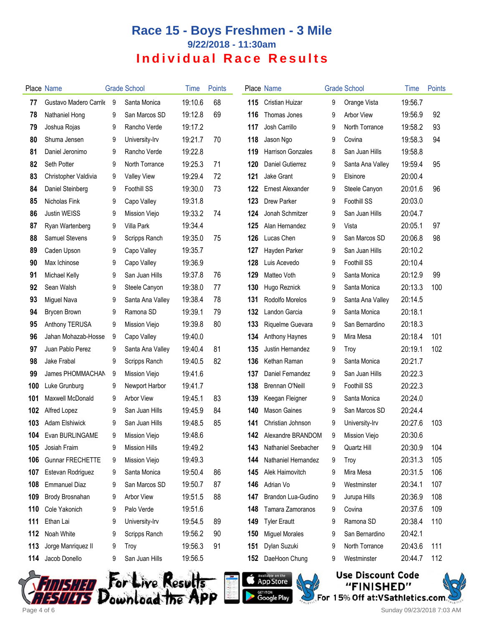|     | Place Name              |     | <b>Grade School</b>  | Time    | <b>Points</b> |     | Place Name                   |   | <b>Grade School</b> | Time    | Points |
|-----|-------------------------|-----|----------------------|---------|---------------|-----|------------------------------|---|---------------------|---------|--------|
| 77  | Gustavo Madero Carrile  | - 9 | Santa Monica         | 19:10.6 | 68            | 115 | Cristian Huizar              | 9 | Orange Vista        | 19:56.7 |        |
| 78  | Nathaniel Hong          | 9   | San Marcos SD        | 19:12.8 | 69            | 116 | Thomas Jones                 | 9 | <b>Arbor View</b>   | 19:56.9 | 92     |
| 79  | Joshua Rojas            | 9   | Rancho Verde         | 19:17.2 |               | 117 | Josh Carrillo                | 9 | North Torrance      | 19:58.2 | 93     |
| 80  | Shuma Jensen            | 9   | University-Irv       | 19:21.7 | 70            | 118 | Jason Ngo                    | 9 | Covina              | 19:58.3 | 94     |
| 81  | Daniel Jeronimo         | 9   | Rancho Verde         | 19:22.8 |               | 119 | <b>Harrison Gonzales</b>     | 8 | San Juan Hills      | 19:58.8 |        |
| 82  | Seth Potter             | 9   | North Torrance       | 19:25.3 | 71            | 120 | Daniel Gutierrez             | 9 | Santa Ana Valley    | 19:59.4 | 95     |
| 83  | Christopher Valdivia    | 9   | <b>Valley View</b>   | 19:29.4 | 72            | 121 | Jake Grant                   | 9 | Elsinore            | 20:00.4 |        |
| 84  | Daniel Steinberg        | 9   | Foothill SS          | 19:30.0 | 73            | 122 | <b>Ernest Alexander</b>      | 9 | Steele Canyon       | 20:01.6 | 96     |
| 85  | Nicholas Fink           | 9   | Capo Valley          | 19:31.8 |               | 123 | <b>Drew Parker</b>           | 9 | Foothill SS         | 20:03.0 |        |
| 86  | <b>Justin WEISS</b>     | 9   | Mission Viejo        | 19:33.2 | 74            | 124 | Jonah Schmitzer              | 9 | San Juan Hills      | 20:04.7 |        |
| 87  | Ryan Wartenberg         | 9   | Villa Park           | 19:34.4 |               | 125 | Alan Hernandez               | 9 | Vista               | 20:05.1 | 97     |
| 88  | Samuel Stevens          | 9   | Scripps Ranch        | 19:35.0 | 75            | 126 | Lucas Chen                   | 9 | San Marcos SD       | 20:06.8 | 98     |
| 89  | Caden Upson             | 9   | Capo Valley          | 19:35.7 |               | 127 | Hayden Parker                | 9 | San Juan Hills      | 20:10.2 |        |
| 90  | Max Ichinose            | 9   | Capo Valley          | 19:36.9 |               | 128 | Luis Acevedo                 | 9 | Foothill SS         | 20:10.4 |        |
| 91  | Michael Kelly           | 9   | San Juan Hills       | 19:37.8 | 76            | 129 | Matteo Voth                  | 9 | Santa Monica        | 20:12.9 | 99     |
| 92  | Sean Walsh              | 9   | Steele Canyon        | 19:38.0 | 77            | 130 | Hugo Reznick                 | 9 | Santa Monica        | 20:13.3 | 100    |
| 93  | Miguel Nava             | 9   | Santa Ana Valley     | 19:38.4 | 78            | 131 | Rodolfo Morelos              | 9 | Santa Ana Valley    | 20:14.5 |        |
| 94  | <b>Brycen Brown</b>     | 9   | Ramona SD            | 19:39.1 | 79            | 132 | Landon Garcia                | 9 | Santa Monica        | 20:18.1 |        |
| 95  | Anthony TERUSA          | 9   | Mission Viejo        | 19:39.8 | 80            | 133 | Riquelme Guevara             | 9 | San Bernardino      | 20:18.3 |        |
| 96  | Jahan Mohazab-Hossei    | 9   | Capo Valley          | 19:40.0 |               | 134 | Anthony Haynes               | 9 | Mira Mesa           | 20:18.4 | 101    |
| 97  | Juan Pablo Perez        | 9   | Santa Ana Valley     | 19:40.4 | 81            | 135 | Justin Hernandez             | 9 | Troy                | 20:19.1 | 102    |
| 98  | Jake Frabal             | 9   | Scripps Ranch        | 19:40.5 | 82            | 136 | Kethan Raman                 | 9 | Santa Monica        | 20:21.7 |        |
| 99  | James PHOMMACHAN        | 9   | Mission Viejo        | 19:41.6 |               | 137 | Daniel Fernandez             | 9 | San Juan Hills      | 20:22.3 |        |
| 100 | Luke Grunburg           | 9   | Newport Harbor       | 19:41.7 |               | 138 | <b>Brennan O'Neill</b>       | 9 | Foothill SS         | 20:22.3 |        |
| 101 | Maxwell McDonald        | 9   | Arbor View           | 19:45.1 | 83            | 139 | Keegan Fleigner              | 9 | Santa Monica        | 20:24.0 |        |
| 102 | Alfred Lopez            | 9   | San Juan Hills       | 19:45.9 | 84            | 140 | <b>Mason Gaines</b>          | 9 | San Marcos SD       | 20:24.4 |        |
| 103 | <b>Adam Elshiwick</b>   | 9   | San Juan Hills       | 19:48.5 | 85            | 141 | Christian Johnson            | 9 | University-Irv      | 20:27.6 | 103    |
| 104 | Evan BURLINGAME         | 9   | Mission Viejo        | 19:48.6 |               |     | <b>142</b> Alexandre BRANDOM | 9 | Mission Viejo       | 20:30.6 |        |
| 105 | Josiah Fraim            | 9   | <b>Mission Hills</b> | 19:49.2 |               | 143 | Nathaniel Seebacher          | 9 | Quartz Hill         | 20:30.9 | 104    |
| 106 | <b>Gunnar FRECHETTE</b> | 9   | Mission Viejo        | 19:49.3 |               | 144 | Nathaniel Hernandez          | 9 | Troy                | 20:31.3 | 105    |
| 107 | Estevan Rodriguez       | 9   | Santa Monica         | 19:50.4 | 86            | 145 | Alek Haimovitch              | 9 | Mira Mesa           | 20:31.5 | 106    |
| 108 | <b>Emmanuel Diaz</b>    | 9   | San Marcos SD        | 19:50.7 | 87            | 146 | Adrian Vo                    | 9 | Westminster         | 20:34.1 | 107    |
| 109 | Brody Brosnahan         | 9   | Arbor View           | 19:51.5 | 88            | 147 | Brandon Lua-Gudino           | 9 | Jurupa Hills        | 20:36.9 | 108    |
| 110 | Cole Yakonich           | 9   | Palo Verde           | 19:51.6 |               | 148 | Tamara Zamoranos             | 9 | Covina              | 20:37.6 | 109    |
| 111 | Ethan Lai               | 9   | University-Irv       | 19:54.5 | 89            | 149 | <b>Tyler Erautt</b>          | 9 | Ramona SD           | 20:38.4 | 110    |
| 112 | Noah White              | 9   | Scripps Ranch        | 19:56.2 | 90            | 150 | <b>Miguel Morales</b>        | 9 | San Bernardino      | 20:42.1 |        |
| 113 | Jorge Manriquez II      | 9   | Troy                 | 19:56.3 | 91            | 151 | Dylan Suzuki                 | 9 | North Torrance      | 20:43.6 | 111    |
| 114 | Jacob Donello           | 9   | San Juan Hills       | 19:56.5 |               | 152 | DaeHoon Chung                | 9 | Westminster         | 20:44.7 | 112    |
|     |                         |     |                      |         |               |     |                              |   |                     |         |        |







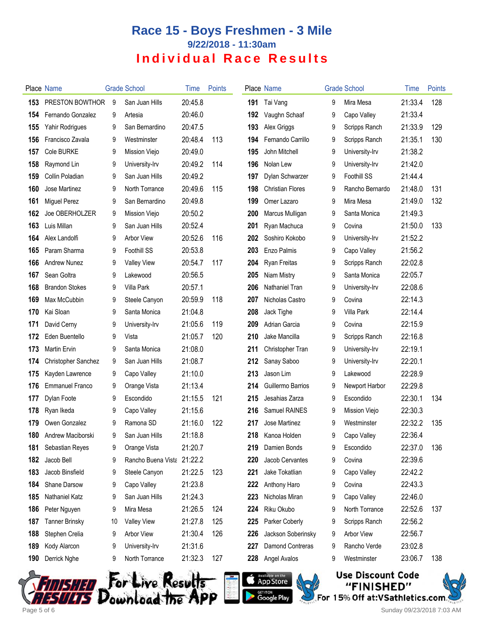|     | Place Name             |    | <b>Grade School</b>        | Time    | <b>Points</b> |     | Place Name              |   | <b>Grade School</b> | Time    | Points |
|-----|------------------------|----|----------------------------|---------|---------------|-----|-------------------------|---|---------------------|---------|--------|
| 153 | PRESTON BOWTHOR        | 9  | San Juan Hills             | 20:45.8 |               | 191 | Tai Vang                | 9 | Mira Mesa           | 21:33.4 | 128    |
| 154 | Fernando Gonzalez      | 9  | Artesia                    | 20:46.0 |               | 192 | Vaughn Schaaf           | 9 | Capo Valley         | 21:33.4 |        |
| 155 | Yahir Rodrigues        | 9  | San Bernardino             | 20:47.5 |               | 193 | Alex Griggs             | 9 | Scripps Ranch       | 21:33.9 | 129    |
| 156 | Francisco Zavala       | 9  | Westminster                | 20:48.4 | 113           | 194 | Fernando Carrillo       | 9 | Scripps Ranch       | 21:35.1 | 130    |
| 157 | <b>Cole BURKE</b>      | 9  | Mission Viejo              | 20:49.0 |               | 195 | John Mitchell           | 9 | University-Irv      | 21:38.2 |        |
| 158 | Raymond Lin            | 9  | University-Irv             | 20:49.2 | 114           | 196 | Nolan Lew               | 9 | University-Irv      | 21:42.0 |        |
| 159 | Collin Poladian        | 9  | San Juan Hills             | 20:49.2 |               | 197 | Dylan Schwarzer         | 9 | <b>Foothill SS</b>  | 21:44.4 |        |
| 160 | Jose Martinez          | 9  | North Torrance             | 20:49.6 | 115           | 198 | <b>Christian Flores</b> | 9 | Rancho Bernardo     | 21:48.0 | 131    |
| 161 | <b>Miguel Perez</b>    | 9  | San Bernardino             | 20:49.8 |               | 199 | Omer Lazaro             | 9 | Mira Mesa           | 21:49.0 | 132    |
| 162 | Joe OBERHOLZER         | 9  | Mission Viejo              | 20:50.2 |               | 200 | Marcus Mulligan         | 9 | Santa Monica        | 21:49.3 |        |
| 163 | Luis Millan            | 9  | San Juan Hills             | 20:52.4 |               | 201 | Ryan Machuca            | 9 | Covina              | 21:50.0 | 133    |
| 164 | Alex Landolfi          | 9  | Arbor View                 | 20:52.6 | 116           | 202 | Soshiro Kokobo          | 9 | University-Irv      | 21:52.2 |        |
| 165 | Param Sharma           | 9  | Foothill SS                | 20:53.8 |               | 203 | Enzo Palmis             | 9 | Capo Valley         | 21:56.2 |        |
| 166 | Andrew Nunez           | 9  | <b>Valley View</b>         | 20:54.7 | 117           | 204 | Ryan Freitas            | 9 | Scripps Ranch       | 22:02.8 |        |
| 167 | Sean Goltra            | 9  | Lakewood                   | 20:56.5 |               | 205 | Niam Mistry             | 9 | Santa Monica        | 22:05.7 |        |
| 168 | <b>Brandon Stokes</b>  | 9  | Villa Park                 | 20:57.1 |               | 206 | Nathaniel Tran          | 9 | University-Irv      | 22:08.6 |        |
| 169 | Max McCubbin           | 9  | Steele Canyon              | 20:59.9 | 118           | 207 | Nicholas Castro         | 9 | Covina              | 22:14.3 |        |
| 170 | Kai Sloan              | 9  | Santa Monica               | 21:04.8 |               | 208 | Jack Tighe              | 9 | Villa Park          | 22:14.4 |        |
| 171 | David Cerny            | 9  | University-Irv             | 21:05.6 | 119           | 209 | Adrian Garcia           | 9 | Covina              | 22:15.9 |        |
| 172 | Eden Buentello         | 9  | Vista                      | 21:05.7 | 120           | 210 | Jake Mancilla           | 9 | Scripps Ranch       | 22:16.8 |        |
| 173 | <b>Martin Ervin</b>    | 9  | Santa Monica               | 21:08.0 |               | 211 | Christopher Tran        | 9 | University-Irv      | 22:19.1 |        |
| 174 | Christopher Sanchez    | 9  | San Juan Hills             | 21:08.7 |               | 212 | Sanay Saboo             | 9 | University-Irv      | 22:20.1 |        |
| 175 | Kayden Lawrence        | 9  | Capo Valley                | 21:10.0 |               | 213 | Jason Lim               | 9 | Lakewood            | 22:28.9 |        |
| 176 | <b>Emmanuel Franco</b> | 9  | Orange Vista               | 21:13.4 |               | 214 | Guillermo Barrios       | 9 | Newport Harbor      | 22:29.8 |        |
| 177 | Dylan Foote            | 9  | Escondido                  | 21:15.5 | 121           | 215 | Jesahias Zarza          | 9 | Escondido           | 22:30.1 | 134    |
| 178 | Ryan Ikeda             | 9  | Capo Valley                | 21:15.6 |               | 216 | Samuel RAINES           | 9 | Mission Viejo       | 22:30.3 |        |
| 179 | Owen Gonzalez          | 9  | Ramona SD                  | 21:16.0 | 122           | 217 | Jose Martinez           | 9 | Westminster         | 22:32.2 | 135    |
|     | 180 Andrew Maciborski  | Q  | San Juan Hills             | 21:18.8 |               | 218 | Kanoa Holden            | 9 | Capo Valley         | 22:36.4 |        |
| 181 | Sebastian Reyes        | 9  | Orange Vista               | 21:20.7 |               | 219 | Damien Bonds            | 9 | Escondido           | 22:37.0 | 136    |
| 182 | Jacob Bell             | 9  | Rancho Buena Vista 21:22.2 |         |               | 220 | Jacob Cervantes         | 9 | Covina              | 22:39.6 |        |
| 183 | Jacob Binsfield        | 9  | Steele Canyon              | 21:22.5 | 123           | 221 | Jake Tokatlian          | 9 | Capo Valley         | 22:42.2 |        |
| 184 | Shane Darsow           | 9  | Capo Valley                | 21:23.8 |               | 222 | Anthony Haro            | 9 | Covina              | 22:43.3 |        |
| 185 | Nathaniel Katz         | 9  | San Juan Hills             | 21:24.3 |               | 223 | Nicholas Miran          | 9 | Capo Valley         | 22:46.0 |        |
| 186 | Peter Nguyen           | 9  | Mira Mesa                  | 21:26.5 | 124           | 224 | Riku Okubo              | 9 | North Torrance      | 22:52.6 | 137    |
| 187 | <b>Tanner Brinsky</b>  | 10 | <b>Valley View</b>         | 21:27.8 | 125           | 225 | Parker Coberly          | 9 | Scripps Ranch       | 22:56.2 |        |
| 188 | Stephen Crelia         | 9  | Arbor View                 | 21:30.4 | 126           | 226 | Jackson Soberinsky      | 9 | <b>Arbor View</b>   | 22:56.7 |        |
| 189 | Kody Alarcon           | 9  | University-Irv             | 21:31.6 |               | 227 | Damond Contreras        | 9 | Rancho Verde        | 23:02.8 |        |
| 190 | Derrick Nghe           | 9  | North Torrance             | 21:32.3 | 127           | 228 | Angel Avalos            | 9 | Westminster         | 23:06.7 | 138    |
|     |                        |    |                            |         |               |     |                         |   |                     |         |        |